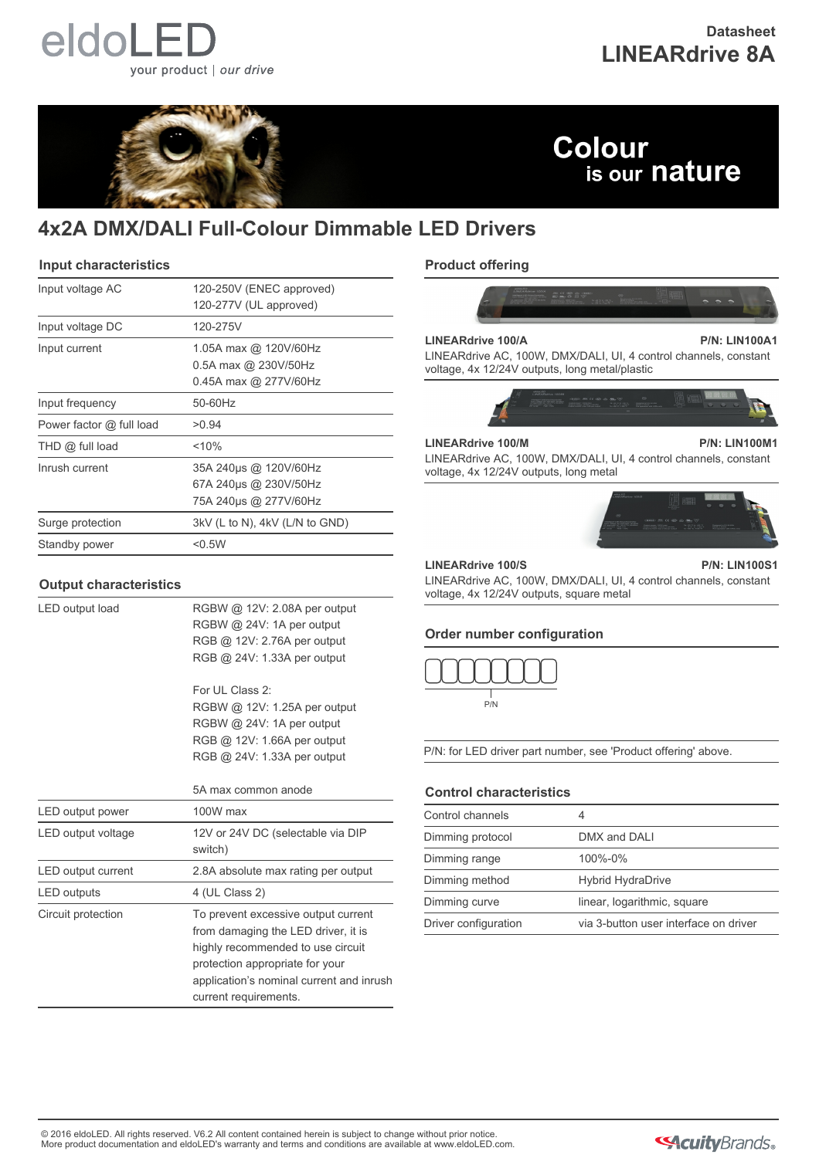# eldoLEI your product | our drive

# **Datasheet LINEARdrive 8A**



# **Colour** is our nature

# **4x2A DMX/DALI Full-Colour Dimmable LED Drivers**

### **Input characteristics**

| Input voltage AC         | 120-250V (ENEC approved)<br>120-277V (UL approved)                       |
|--------------------------|--------------------------------------------------------------------------|
| Input voltage DC         | 120-275V                                                                 |
| Input current            | 1.05A max @ 120V/60Hz<br>$0.5A$ max @ 230V/50Hz<br>0.45A max @ 277V/60Hz |
| Input frequency          | 50-60Hz                                                                  |
| Power factor @ full load | >0.94                                                                    |
| $THD$ $@$ full load      | $<$ 10%                                                                  |
| Inrush current           | 35A 240us @ 120V/60Hz<br>67A 240us @ 230V/50Hz<br>75A 240µs @ 277V/60Hz  |
| Surge protection         | 3kV (L to N), 4kV (L/N to GND)                                           |
| Standby power            | < 0.5W                                                                   |

### **Output characteristics**

LED output load RGBW @ 12V: 2.08A per output RGBW @ 24V: 1A per output RGB @ 12V: 2.76A per output RGB @ 24V: 1.33A per output

> For UL Class 2: RGBW @ 12V: 1.25A per output RGBW @ 24V: 1A per output RGB @ 12V: 1.66A per output RGB @ 24V: 1.33A per output

|                    | 5A max common anode                                                                                                                                                                                                     |
|--------------------|-------------------------------------------------------------------------------------------------------------------------------------------------------------------------------------------------------------------------|
| LED output power   | $100W$ max                                                                                                                                                                                                              |
| LED output voltage | 12V or 24V DC (selectable via DIP<br>switch)                                                                                                                                                                            |
| LED output current | 2.8A absolute max rating per output                                                                                                                                                                                     |
| LED outputs        | 4 (UL Class 2)                                                                                                                                                                                                          |
| Circuit protection | To prevent excessive output current<br>from damaging the LED driver, it is<br>highly recommended to use circuit<br>protection appropriate for your<br>application's nominal current and inrush<br>current requirements. |

# **Product offering**



#### **LINEARdrive 100/A P/N: LIN100A1**

LINEARdrive AC, 100W, DMX/DALI, UI, 4 control channels, constant voltage, 4x 12/24V outputs, long metal/plastic



## **LINEARdrive 100/M P/N: LIN100M1**

LINEARdrive AC, 100W, DMX/DALI, UI, 4 control channels, constant voltage, 4x 12/24V outputs, long metal



#### **LINEARdrive 100/S P/N: LIN100S1**

LINEARdrive AC, 100W, DMX/DALI, UI, 4 control channels, constant voltage, 4x 12/24V outputs, square metal

### **Order number configuration**



P/N: for LED driver part number, see 'Product offering' above.

# **Control characteristics**

| Control channels     |                                       |
|----------------------|---------------------------------------|
| Dimming protocol     | DMX and DALI                          |
| Dimming range        | 100%-0%                               |
| Dimming method       | <b>Hybrid HydraDrive</b>              |
| Dimming curve        | linear, logarithmic, square           |
| Driver configuration | via 3-button user interface on driver |